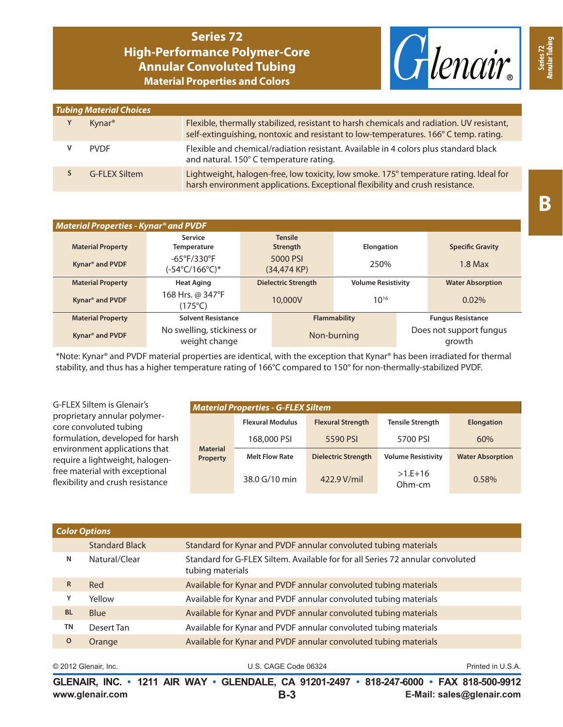## **Series 72 High-Performance Polymer-Core Annular Convoluted Tubing Material Properties and Colors**



| <b>Tubing Material Choices</b> |                    |                                                                                                                                                                                   |  |  |  |  |
|--------------------------------|--------------------|-----------------------------------------------------------------------------------------------------------------------------------------------------------------------------------|--|--|--|--|
| Y                              | Kynar <sup>®</sup> | Flexible, thermally stabilized, resistant to harsh chemicals and radiation. UV resistant,<br>self-extinguishing, nontoxic and resistant to low-temperatures. 166° C temp. rating. |  |  |  |  |
| v                              | <b>PVDF</b>        | Flexible and chemical/radiation resistant. Available in 4 colors plus standard black<br>and natural. 150° C temperature rating.                                                   |  |  |  |  |
|                                | G-FLFX Siltem      | Lightweight, halogen-free, low toxicity, low smoke. 175° temperature rating. Ideal for<br>harsh environment applications. Exceptional flexibility and crush resistance.           |  |  |  |  |

| <b>Material Properties - Kynar<sup>®</sup> and PVDF</b> |                                               |                            |                     |                           |                          |                                   |  |
|---------------------------------------------------------|-----------------------------------------------|----------------------------|---------------------|---------------------------|--------------------------|-----------------------------------|--|
|                                                         | <b>Service</b>                                | <b>Tensile</b>             |                     |                           |                          |                                   |  |
| <b>Material Property</b>                                | <b>Temperature</b>                            | <b>Strength</b>            |                     | <b>Elongation</b>         |                          | <b>Specific Gravity</b>           |  |
| Kynar <sup>®</sup> and PVDF                             | $-65^{\circ}F/330^{\circ}F$<br>(-54°C/166°C)* | 5000 PSI<br>(34,474 KP)    |                     | 250%                      |                          | $1.8$ Max                         |  |
| <b>Material Property</b>                                | <b>Heat Aging</b>                             | <b>Dielectric Strength</b> |                     | <b>Volume Resistivity</b> |                          | <b>Water Absorption</b>           |  |
| Kynar <sup>®</sup> and PVDF                             | 168 Hrs. @ 347°F<br>(175°C)                   | 10,000V                    |                     | $10^{16}$                 |                          | 0.02%                             |  |
| <b>Material Property</b>                                | <b>Solvent Resistance</b>                     |                            | <b>Flammability</b> |                           | <b>Fungus Resistance</b> |                                   |  |
| Kynar <sup>®</sup> and PVDF                             | No swelling, stickiness or<br>weight change   |                            | Non-burning         |                           |                          | Does not support fungus<br>growth |  |

\*Note: Kynar® and PVDF material properties are identical, with the exception that Kynar® has been irradiated for thermal stability, and thus has a higher temperature rating of 166°C compared to 150° for non-thermally-stabilized PVDF.

| G-FLEX Siltem is Glenair's                                         | <b>Material Properties - G-FLEX Siltem</b> |                         |                            |                           |                         |  |
|--------------------------------------------------------------------|--------------------------------------------|-------------------------|----------------------------|---------------------------|-------------------------|--|
| proprietary annular polymer-<br>core convoluted tubing             |                                            | <b>Flexural Modulus</b> | <b>Flexural Strength</b>   | <b>Tensile Strength</b>   | <b>Elongation</b>       |  |
| formulation, developed for harsh                                   |                                            | 168,000 PSI             | 5590 PSI                   | 5700 PSI                  | 60%                     |  |
| environment applications that<br>require a lightweight, halogen-   | <b>Material</b><br>Property                | <b>Melt Flow Rate</b>   | <b>Dielectric Strength</b> | <b>Volume Resistivity</b> | <b>Water Absorption</b> |  |
| free material with exceptional<br>flexibility and crush resistance |                                            | 38.0 G/10 min           | 422.9 V/mil                | $>1.E+16$<br>Ohm-cm       | 0.58%                   |  |

| <b>Color Options</b> |                       |                                                                                                    |  |  |  |  |
|----------------------|-----------------------|----------------------------------------------------------------------------------------------------|--|--|--|--|
|                      | <b>Standard Black</b> | Standard for Kynar and PVDF annular convoluted tubing materials                                    |  |  |  |  |
| N                    | Natural/Clear         | Standard for G-FLEX Siltem. Available for for all Series 72 annular convoluted<br>tubing materials |  |  |  |  |
| $\mathsf{R}$         | Red                   | Available for Kynar and PVDF annular convoluted tubing materials                                   |  |  |  |  |
| Y                    | Yellow                | Available for Kynar and PVDF annular convoluted tubing materials                                   |  |  |  |  |
| <b>BL</b>            | Blue                  | Available for Kynar and PVDF annular convoluted tubing materials                                   |  |  |  |  |
| <b>TN</b>            | Desert Tan            | Available for Kynar and PVDF annular convoluted tubing materials                                   |  |  |  |  |
| $\mathbf{o}$         | Orange                | Available for Kynar and PVDF annular convoluted tubing materials                                   |  |  |  |  |
|                      |                       |                                                                                                    |  |  |  |  |

**www.glenair.com E-Mail: sales@glenair.com GLENAIR, INC. • 1211 AIR WAY • GLENDALE, CA 91201-2497 • 818-247-6000 • FAX 818-500-9912 B-3**

**Series 72**<br>Innular Tubir **Annular Tubing**